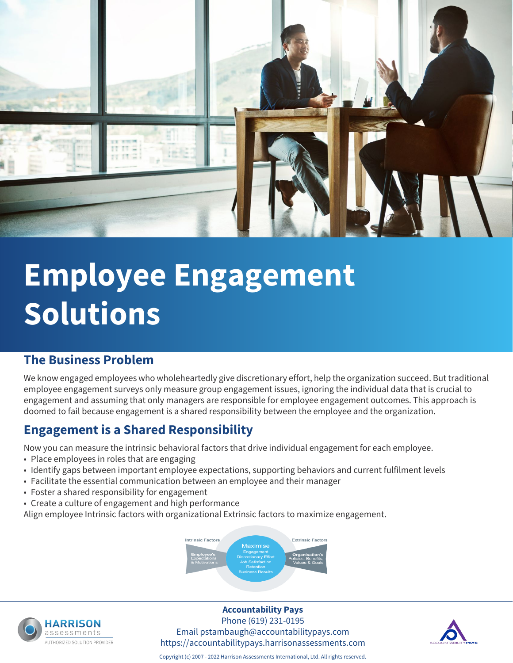

# **Employee Engagement Solutions**

### **The Business Problem**

We know engaged employees who wholeheartedly give discretionary effort, help the organization succeed. But traditional employee engagement surveys only measure group engagement issues, ignoring the individual data that is crucial to engagement and assuming that only managers are responsible for employee engagement outcomes. This approach is doomed to fail because engagement is a shared responsibility between the employee and the organization.

### **Engagement is a Shared Responsibility**

Now you can measure the intrinsic behavioral factors that drive individual engagement for each employee.

- Place employees in roles that are engaging
- Identify gaps between important employee expectations, supporting behaviors and current fulfilment levels
- Facilitate the essential communication between an employee and their manager
- Foster a shared responsibility for engagement
- Create a culture of engagement and high performance

Align employee Intrinsic factors with organizational Extrinsic factors to maximize engagement.





### **Accountability Pays**

Phone (619) 231-0195 Email pstambaugh@accountabilitypays.com https://accountabilitypays.harrisonassessments.com



Copyright (c) 2007 - 2022 Harrison Assessments International, Ltd. All rights reserved.